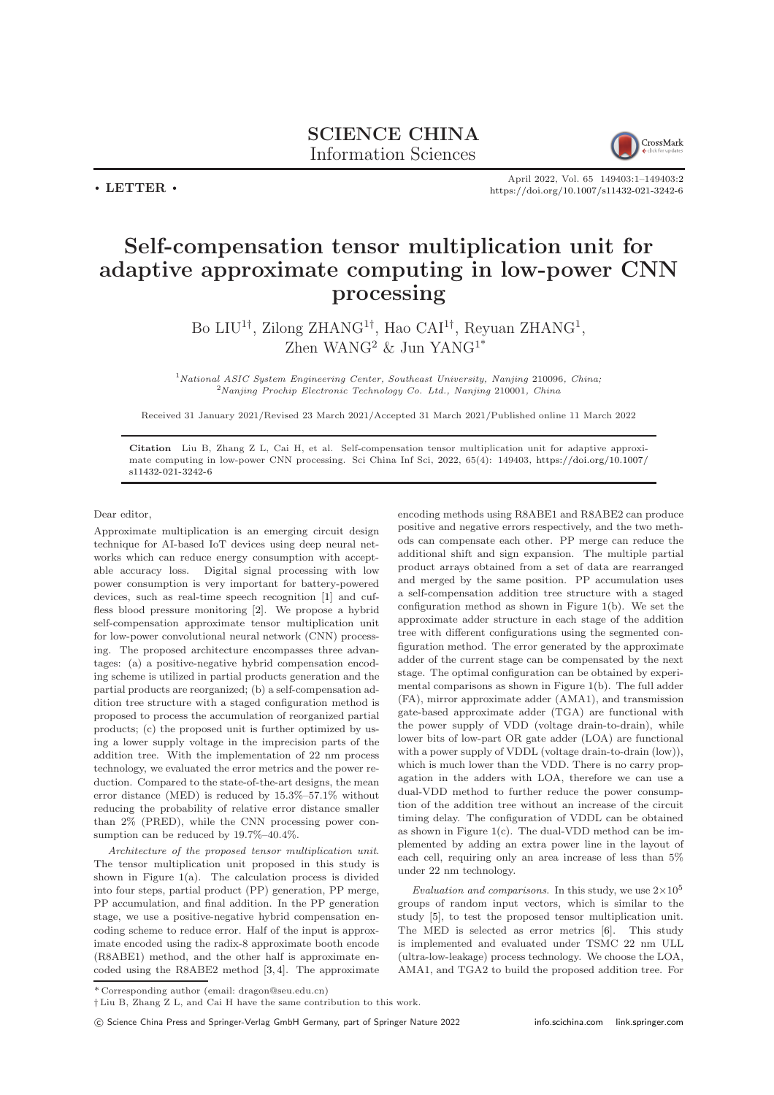## SCIENCE CHINA Information Sciences



 $\cdot$  LETTER  $\cdot$ 

April 2022, Vol. 65 149403:1–149403[:2](#page-1-0) <https://doi.org/10.1007/s11432-021-3242-6>

## Self-compensation tensor multiplication unit for adaptive approximate computing in low-power CNN processing

Bo LIU<sup>1†</sup>, Zilong ZHANG<sup>1†</sup>, Hao CAI<sup>1†</sup>, Reyuan ZHANG<sup>1</sup>, Zhen WANG<sup>2</sup> & Jun YANG<sup>1\*</sup>

 $1$ National ASIC System Engineering Center, Southeast University, Nanjing 210096, China; <sup>2</sup>Nanjing Prochip Electronic Technology Co. Ltd., Nanjing 210001, China

Received 31 January 2021/Revised 23 March 2021/Accepted 31 March 2021/Published online 11 March 2022

Citation Liu B, Zhang Z L, Cai H, et al. Self-compensation tensor multiplication unit for adaptive approximate computing in low-power CNN processing. Sci China Inf Sci, 2022, 65(4): 149403, [https://doi.org/10.1007/](https://doi.org/10.1007/s11432-021-3242-6) [s11432-021-3242-6](https://doi.org/10.1007/s11432-021-3242-6)

Dear editor,

Approximate multiplication is an emerging circuit design technique for AI-based IoT devices using deep neural networks which can reduce energy consumption with acceptable accuracy loss. Digital signal processing with low power consumption is very important for battery-powered devices, such as real-time speech recognition [\[1\]](#page-1-1) and cuffless blood pressure monitoring [\[2\]](#page-1-2). We propose a hybrid self-compensation approximate tensor multiplication unit for low-power convolutional neural network (CNN) processing. The proposed architecture encompasses three advantages: (a) a positive-negative hybrid compensation encoding scheme is utilized in partial products generation and the partial products are reorganized; (b) a self-compensation addition tree structure with a staged configuration method is proposed to process the accumulation of reorganized partial products; (c) the proposed unit is further optimized by using a lower supply voltage in the imprecision parts of the addition tree. With the implementation of 22 nm process technology, we evaluated the error metrics and the power reduction. Compared to the state-of-the-art designs, the mean error distance (MED) is reduced by 15.3%–57.1% without reducing the probability of relative error distance smaller than 2% (PRED), while the CNN processing power consumption can be reduced by 19.7%–40.4%.

Architecture of the proposed tensor multiplication unit. The tensor multiplication unit proposed in this study is shown in Figure  $1(a)$  $1(a)$ . The calculation process is divided into four steps, partial product (PP) generation, PP merge, PP accumulation, and final addition. In the PP generation stage, we use a positive-negative hybrid compensation encoding scheme to reduce error. Half of the input is approximate encoded using the radix-8 approximate booth encode (R8ABE1) method, and the other half is approximate encoded using the R8ABE2 method [\[3,](#page-1-4) [4\]](#page-1-5). The approximate encoding methods using R8ABE1 and R8ABE2 can produce positive and negative errors respectively, and the two methods can compensate each other. PP merge can reduce the additional shift and sign expansion. The multiple partial product arrays obtained from a set of data are rearranged and merged by the same position. PP accumulation uses a self-compensation addition tree structure with a staged configuration method as shown in Figure [1\(](#page-1-3)b). We set the approximate adder structure in each stage of the addition tree with different configurations using the segmented configuration method. The error generated by the approximate adder of the current stage can be compensated by the next stage. The optimal configuration can be obtained by experimental comparisons as shown in Figure [1\(](#page-1-3)b). The full adder (FA), mirror approximate adder (AMA1), and transmission gate-based approximate adder (TGA) are functional with the power supply of VDD (voltage drain-to-drain), while lower bits of low-part OR gate adder (LOA) are functional with a power supply of VDDL (voltage drain-to-drain (low)), which is much lower than the VDD. There is no carry propagation in the adders with LOA, therefore we can use a dual-VDD method to further reduce the power consumption of the addition tree without an increase of the circuit timing delay. The configuration of VDDL can be obtained as shown in Figure [1\(](#page-1-3)c). The dual-VDD method can be implemented by adding an extra power line in the layout of each cell, requiring only an area increase of less than 5% under 22 nm technology.

Evaluation and comparisons. In this study, we use  $2\times10^5$ groups of random input vectors, which is similar to the study [\[5\]](#page-1-6), to test the proposed tensor multiplication unit. The MED is selected as error metrics [\[6\]](#page-1-7). This study is implemented and evaluated under TSMC 22 nm ULL (ultra-low-leakage) process technology. We choose the LOA, AMA1, and TGA2 to build the proposed addition tree. For

<sup>\*</sup> Corresponding author (email: dragon@seu.edu.cn)

<sup>†</sup> Liu B, Zhang Z L, and Cai H have the same contribution to this work.

c Science China Press and Springer-Verlag GmbH Germany, part of Springer Nature 2022 <info.scichina.com><link.springer.com>